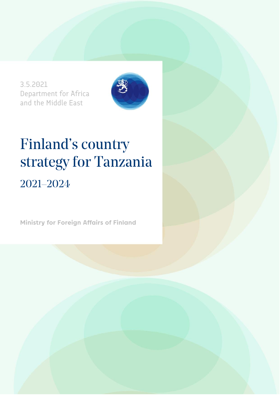3.5.2021 Department for Africa and the Middle East



# Finland's country strategy for Tanzania 2021–2024

**Ministry for Foreign Affairs of Finland**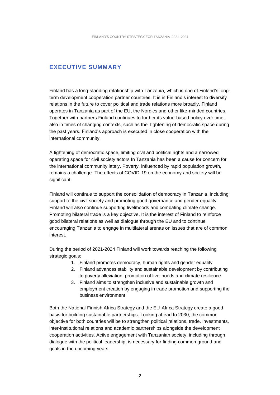#### **EXECUTIVE SUMMARY**

Finland has a long-standing relationship with Tanzania, which is one of Finland's longterm development cooperation partner countries. It is in Finland's interest to diversify relations in the future to cover political and trade relations more broadly. Finland operates in Tanzania as part of the EU, the Nordics and other like-minded countries. Together with partners Finland continues to further its value-based policy over time, also in times of changing contexts, such as the tightening of democratic space during the past years. Finland's approach is executed in close cooperation with the international community.

A tightening of democratic space, limiting civil and political rights and a narrowed operating space for civil society actors In Tanzania has been a cause for concern for the international community lately. Poverty, influenced by rapid population growth, remains a challenge. The effects of COVID-19 on the economy and society will be significant.

Finland will continue to support the consolidation of democracy in Tanzania, including support to the civil society and promoting good governance and gender equality. Finland will also continue supporting livelihoods and combating climate change. Promoting bilateral trade is a key objective. It is the interest of Finland to reinforce good bilateral relations as well as dialogue through the EU and to continue encouraging Tanzania to engage in multilateral arenas on issues that are of common interest.

During the period of 2021-2024 Finland will work towards reaching the following strategic goals:

- 1. Finland promotes democracy, human rights and gender equality
- 2. Finland advances stability and sustainable development by contributing to poverty alleviation, promotion of livelihoods and climate resilience
- 3. Finland aims to strengthen inclusive and sustainable growth and employment creation by engaging in trade promotion and supporting the business environment

Both the National Finnish Africa Strategy and the EU-Africa Strategy create a good basis for building sustainable partnerships. Looking ahead to 2030, the common objective for both countries will be to strengthen political relations, trade, investments, inter-institutional relations and academic partnerships alongside the development cooperation activities. Active engagement with Tanzanian society, including through dialogue with the political leadership, is necessary for finding common ground and goals in the upcoming years.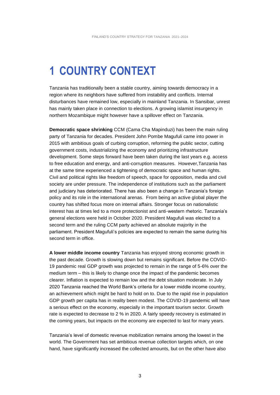## **1 COUNTRY CONTEXT**

Tanzania has traditionally been a stable country, aiming towards democracy in a region where its neighbors have suffered from instability and conflicts. Internal disturbances have remained low, especially in mainland Tanzania. In Sansibar, unrest has mainly taken place in connection to elections. A growing islamist insurgency in northern Mozambique might however have a spillover effect on Tanzania.

**Democratic space shrinking** CCM (Cama Cha Mapinduzi) has been the main ruling party of Tanzania for decades. President John Pombe Magufuli came into power in 2015 with ambitious goals of curbing corruption, reforming the public sector, cutting government costs, industrializing the economy and prioritizing infrastructure development. Some steps forward have been taken during the last years e.g. access to free education and energy, and anti-corruption measures. However,Tanzania has at the same time experienced a tightening of democratic space and human rights. Civil and political rights like freedom of speech, space for opposition, media and civil society are under pressure. The independence of institutions such as the parliament and judiciary has deteriorated. There has also been a change in Tanzania's foreign policy and its role in the international arenas. From being an active global player the country has shifted focus more on internal affairs. Stronger focus on nationalistic interest has at times led to a more protectionist and anti-western rhetoric. Tanzania's general elections were held in October 2020. President Magufuli was elected to a second term and the ruling CCM party achieved an absolute majority in the parliament. President Magufuli's policies are expected to remain the same during his second term in office.

**A lower middle income country** Tanzania has enjoyed strong economic growth in the past decade. Growth is slowing down but remains significant. Before the COVID-19 pandemic real GDP growth was projected to remain in the range of 5-6% over the medium term – this is likely to change once the impact of the pandemic becomes clearer. Inflation is expected to remain low and the debt situation moderate. In July 2020 Tanzania reached the World Bank's criteria for a lower middle income country, an achievement which might be hard to hold on to. Due to the rapid rise in population GDP growth per capita has in reality been modest. The COVID-19 pandemic will have a serious effect on the economy, especially in the important tourism sector. Growth rate is expected to decrease to 2 % in 2020. A fairly speedy recovery is estimated in the coming years, but impacts on the economy are expected to last for many years.

Tanzania's level of domestic revenue mobilization remains among the lowest in the world. The Government has set ambitious revenue collection targets which, on one hand, have significantly increased the collected amounts, but on the other have also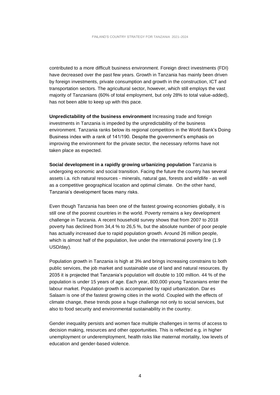contributed to a more difficult business environment. Foreign direct investments (FDI) have decreased over the past few years. Growth in Tanzania has mainly been driven by foreign investments, private consumption and growth in the construction, ICT and transportation sectors. The agricultural sector, however, which still employs the vast majority of Tanzanians (60% of total employment, but only 28% to total value-added), has not been able to keep up with this pace.

**Unpredictability of the business environment** Increasing trade and foreign investments in Tanzania is impeded by the unpredictability of the business environment. Tanzania ranks below its regional competitors in the World Bank's Doing Business index with a rank of 141/190. Despite the government's emphasis on improving the environment for the private sector, the necessary reforms have not taken place as expected.

**Social development in a rapidly growing urbanizing population** Tanzania is undergoing economic and social transition. Facing the future the country has several assets i.a. rich natural resources - minerals, natural gas, forests and wildlife - as well as a competitive geographical location and optimal climate. On the other hand, Tanzania's development faces many risks.

Even though Tanzania has been one of the fastest growing economies globally, it is still one of the poorest countries in the world. Poverty remains a key development challenge in Tanzania. A recent household survey shows that from 2007 to 2018 poverty has declined from 34,4 % to 26,5 %, but the absolute number of poor people has actually increased due to rapid population growth. Around 26 million people, which is almost half of the population, live under the international poverty line (1.9 USD/day).

Population growth in Tanzania is high at 3% and brings increasing constrains to both public services, the job market and sustainable use of land and natural resources. By 2035 it is projected that Tanzania's population will double to 100 million. 44 % of the population is under 15 years of age. Each year, 800,000 young Tanzanians enter the labour market. Population growth is accompanied by rapid urbanization. Dar es Salaam is one of the fastest growing cities in the world. Coupled with the effects of climate change, these trends pose a huge challenge not only to social services, but also to food security and environmental sustainability in the country.

Gender inequality persists and women face multiple challenges in terms of access to decision making, resources and other opportunities. This is reflected e.g. in higher unemployment or underemployment, health risks like maternal mortality, low levels of education and gender-based violence.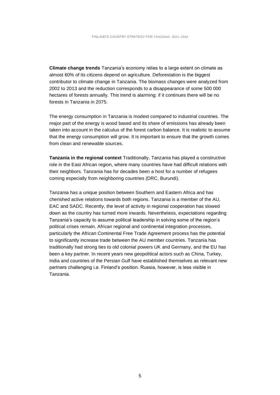**Climate change trends** Tanzania's economy relies to a large extent on climate as almost 60% of its citizens depend on agriculture. Deforestation is the biggest contributor to climate change in Tanzania. The biomass changes were analyzed from 2002 to 2013 and the reduction corresponds to a disappearance of some 500 000 hectares of forests annually. This trend is alarming: if it continues there will be no forests in Tanzania in 2075.

The energy consumption in Tanzania is modest compared to industrial countries. The major part of the energy is wood based and its share of emissions has already been taken into account in the calculus of the forest carbon balance. It is realistic to assume that the energy consumption will grow. It is important to ensure that the growth comes from clean and renewable sources.

**Tanzania in the regional context** Traditionally, Tanzania has played a constructive role in the East African region, where many countries have had difficult relations with their neighbors. Tanzania has for decades been a host for a number of refugees coming especially from neighboring countries (DRC, Burundi).

Tanzania has a unique position between Southern and Eastern Africa and has cherished active relations towards both regions. Tanzania is a member of the AU, EAC and SADC. Recently, the level of activity in regional cooperation has slowed down as the country has turned more inwards. Nevertheless, expectations regarding Tanzania's capacity to assume political leadership in solving some of the region's political crises remain. African regional and continental integration processes, particularly the African Continental Free Trade Agreement process has the potential to significantly increase trade between the AU member countries. Tanzania has traditionally had strong ties to old colonial powers UK and Germany, and the EU has been a key partner. In recent years new geopolitical actors such as China, Turkey, India and countries of the Persian Gulf have established themselves as relevant new partners challenging i.a. Finland's position. Russia, however, is less visible in Tanzania.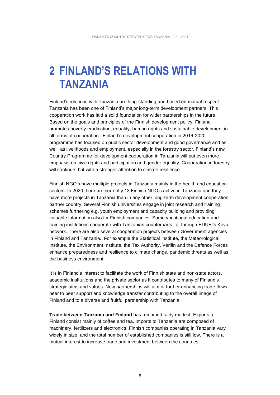### **2 FINLAND'S RELATIONS WITH TANZANIA**

Finland's relations with Tanzania are long-standing and based on mutual respect. Tanzania has been one of Finland's major long-term development partners. This cooperation work has laid a solid foundation for wider partnerships in the future. Based on the goals and principles of the Finnish development policy, Finland promotes poverty eradication, equality, human rights and sustainable development in all forms of cooperation. Finland's development cooperation in 2016-2020 programme has focused on public sector development and good governance and as well as livelihoods and employment, especially in the forestry sector. Finland's new Country Programme for development cooperation in Tanzania will put even more emphasis on civic rights and participation and gender equality. Cooperation in forestry will continue, but with a stronger attention to climate resilience.

Finnish NGO's have multiple projects in Tanzania mainly in the health and education sectors. In 2020 there are currently 13 Finnish NGO's active in Tanzania and they have more projects in Tanzania than in any other long-term development cooperation partner country. Several Finnish universities engage in joint research and training schemes furthering e.g. youth employment and capacity building and providing valuable information also for Finnish companies. Some vocational education and training institutions cooperate with Tanzanian counterparts i.a. through EDUFI's Keva network. There are also several cooperation projects between Government agencies in Finland and Tanzania. For example the Statistical Institute, the Meteorological Institute, the Environment Institute, the Tax Authority, Verifin and the Defence Forces enhance preparedness and resilience to climate change, pandemic threats as well as the business environment.

It is in Finland's interest to facilitate the work of Finnish state and non-state actors, academic institutions and the private sector as it contributes to many of Finland's strategic aims and values. New partnerships will aim at further enhancing trade flows, peer to peer support and knowledge transfer contributing to the overall image of Finland and to a diverse and fruitful partnership with Tanzania.

**Trade between Tanzania and Finland** has remained fairly modest. Exports to Finland consist mainly of coffee and tea. Imports to Tanzania are composed of machinery, fertilizers and electronics. Finnish companies operating in Tanzania vary widely in size, and the total number of established companies is still low. There is a mutual interest to increase trade and investment between the countries.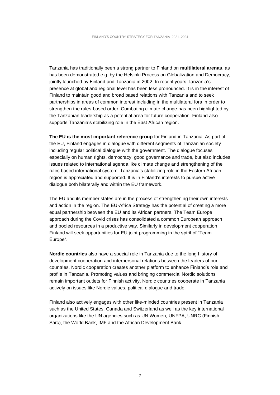Tanzania has traditionally been a strong partner to Finland on **multilateral arenas**, as has been demonstrated e.g. by the Helsinki Process on Globalization and Democracy, jointly launched by Finland and Tanzania in 2002. In recent years Tanzania's presence at global and regional level has been less pronounced. It is in the interest of Finland to maintain good and broad based relations with Tanzania and to seek partnerships in areas of common interest including in the multilateral fora in order to strengthen the rules-based order. Combating climate change has been highlighted by the Tanzanian leadership as a potential area for future cooperation. Finland also supports Tanzania's stabilizing role in the East African region.

**The EU is the most important reference group** for Finland in Tanzania. As part of the EU, Finland engages in dialogue with different segments of Tanzanian society including regular political dialogue with the government. The dialogue focuses especially on human rights, democracy, good governance and trade, but also includes issues related to international agenda like climate change and strengthening of the rules based international system. Tanzania's stabilizing role in the Eastern African region is appreciated and supported. It is in Finland's interests to pursue active dialogue both bilaterally and within the EU framework.

The EU and its member states are in the process of strengthening their own interests and action in the region. The EU-Africa Strategy has the potential of creating a more equal partnership between the EU and its African partners. The Team Europe approach during the Covid crises has consolidated a common European approach and pooled resources in a productive way. Similarly in development cooperation Finland will seek opportunities for EU joint programming in the spirit of "Team Europe".

**Nordic countries** also have a special role in Tanzania due to the long history of development cooperation and interpersonal relations between the leaders of our countries. Nordic cooperation creates another platform to enhance Finland's role and profile in Tanzania. Promoting values and bringing commercial Nordic solutions remain important outlets for Finnish activity. Nordic countries cooperate in Tanzania actively on issues like Nordic values, political dialogue and trade.

Finland also actively engages with other like-minded countries present in Tanzania such as the United States, Canada and Switzerland as well as the key international organizations like the UN agencies such as UN Women, UNFPA, UNRC (Finnish Sarc), the World Bank, IMF and the African Development Bank.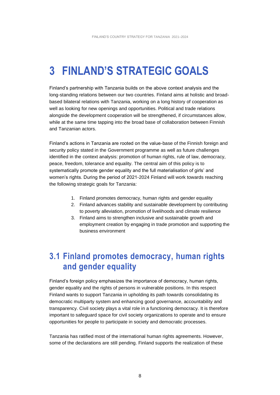## **3 FINLAND'S STRATEGIC GOALS**

Finland's partnership with Tanzania builds on the above context analysis and the long-standing relations between our two countries. Finland aims at holistic and broadbased bilateral relations with Tanzania, working on a long history of cooperation as well as looking for new openings and opportunities. Political and trade relations alongside the development cooperation will be strengthened, if circumstances allow, while at the same time tapping into the broad base of collaboration between Finnish and Tanzanian actors.

Finland's actions in Tanzania are rooted on the value-base of the Finnish foreign and security policy stated in the Government programme as well as future challenges identified in the context analysis: promotion of human rights, rule of law, democracy, peace, freedom, tolerance and equality. The central aim of this policy is to systematically promote gender equality and the full materialisation of girls' and women's rights. During the period of 2021-2024 Finland will work towards reaching the following strategic goals for Tanzania:

- 1. Finland promotes democracy, human rights and gender equality
- 2. Finland advances stability and sustainable development by contributing to poverty alleviation, promotion of livelihoods and climate resilience
- 3. Finland aims to strengthen inclusive and sustainable growth and employment creation by engaging in trade promotion and supporting the business environment

### **3.1 Finland promotes democracy, human rights and gender equality**

Finland's foreign policy emphasizes the importance of democracy, human rights, gender equality and the rights of persons in vulnerable positions. In this respect Finland wants to support Tanzania in upholding its path towards consolidating its democratic multiparty system and enhancing good governance, accountability and transparency. Civil society plays a vital role in a functioning democracy. It is therefore important to safeguard space for civil society organizations to operate and to ensure opportunities for people to participate in society and democratic processes.

Tanzania has ratified most of the international human rights agreements. However, some of the declarations are still pending. Finland supports the realization of these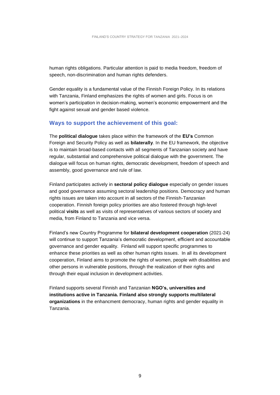human rights obligations. Particular attention is paid to media freedom, freedom of speech, non-discrimination and human rights defenders.

Gender equality is a fundamental value of the Finnish Foreign Policy. In its relations with Tanzania, Finland emphasizes the rights of women and girls. Focus is on women's participation in decision-making, women's economic empowerment and the fight against sexual and gender based violence.

#### **Ways to support the achievement of this goal:**

The **political dialogue** takes place within the framework of the **EU's** Common Foreign and Security Policy as well as **bilaterally**. In the EU framework, the objective is to maintain broad-based contacts with all segments of Tanzanian society and have regular, substantial and comprehensive political dialogue with the government. The dialogue will focus on human rights, democratic development, freedom of speech and assembly, good governance and rule of law.

Finland participates actively in **sectoral policy dialogue** especially on gender issues and good governance assuming sectoral leadership positions. Democracy and human rights issues are taken into account in all sectors of the Finnish-Tanzanian cooperation. Finnish foreign policy priorities are also fostered through high-level political **visits** as well as visits of representatives of various sectors of society and media, from Finland to Tanzania and vice versa.

Finland's new Country Programme for **bilateral development cooperation** (2021-24) will continue to support Tanzania's democratic development, efficient and accountable governance and gender equality. Finland will support specific programmes to enhance these priorities as well as other human rights issues. In all its development cooperation, Finland aims to promote the rights of women, people with disabilities and other persons in vulnerable positions, through the realization of their rights and through their equal inclusion in development activities.

Finland supports several Finnish and Tanzanian **NGO's, universities and institutions active in Tanzania. Finland also strongly supports multilateral organizations** in the enhancment democracy, human rights and gender equality in Tanzania.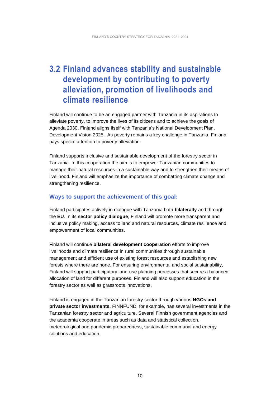### **3.2 Finland advances stability and sustainable development by contributing to poverty alleviation, promotion of livelihoods and climate resilience**

Finland will continue to be an engaged partner with Tanzania in its aspirations to alleviate poverty, to improve the lives of its citizens and to achieve the goals of Agenda 2030. Finland aligns itself with Tanzania's National Development Plan, Development Vision 2025. As poverty remains a key challenge in Tanzania, Finland pays special attention to poverty alleviation.

Finland supports inclusive and sustainable development of the forestry sector in Tanzania. In this cooperation the aim is to empower Tanzanian communities to manage their natural resources in a sustainable way and to strengthen their means of livelihood. Finland will emphasize the importance of combatting climate change and strengthening resilience.

#### **Ways to support the achievement of this goal:**

Finland participates actively in dialogue with Tanzania both **bilaterally** and through the **EU**. In its **sector policy dialogue**, Finland will promote more transparent and inclusive policy making, access to land and natural resources, climate resilience and empowerment of local communities.

Finland will continue **bilateral development cooperation** efforts to improve livelihoods and climate resilience in rural communities through sustainable management and efficient use of existing forest resources and establishing new forests where there are none. For ensuring environmental and social sustainability, Finland will support participatory land-use planning processes that secure a balanced allocation of land for different purposes. Finland will also support education in the forestry sector as well as grassroots innovations.

Finland is engaged in the Tanzanian forestry sector through various **NGOs and private sector investments.** FINNFUND, for example, has several investments in the Tanzanian forestry sector and agriculture. Several Finnish government agencies and the academia cooperate in areas such as data and statistical collection, meteorological and pandemic preparedness, sustainable communal and energy solutions and education.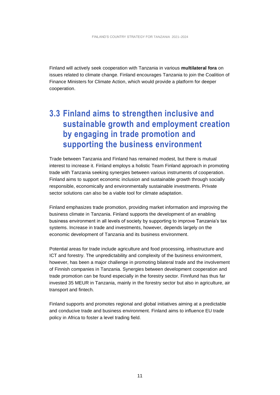Finland will actively seek cooperation with Tanzania in various **multilateral fora** on issues related to climate change. Finland encourages Tanzania to join the Coalition of Finance Ministers for Climate Action, which would provide a platform for deeper cooperation.

### **3.3 Finland aims to strengthen inclusive and sustainable growth and employment creation by engaging in trade promotion and supporting the business environment**

Trade between Tanzania and Finland has remained modest, but there is mutual interest to increase it. Finland employs a holistic Team Finland approach in promoting trade with Tanzania seeking synergies between various instruments of cooperation. Finland aims to support economic inclusion and sustainable growth through socially responsible, economically and environmentally sustainable investments. Private sector solutions can also be a viable tool for climate adaptation.

Finland emphasizes trade promotion, providing market information and improving the business climate in Tanzania. Finland supports the development of an enabling business environment in all levels of society by supporting to improve Tanzania's tax systems. Increase in trade and investments, however, depends largely on the economic development of Tanzania and its business environment.

Potential areas for trade include agriculture and food processing, infrastructure and ICT and forestry. The unpredictability and complexity of the business environment, however, has been a major challenge in promoting bilateral trade and the involvement of Finnish companies in Tanzania. Synergies between development cooperation and trade promotion can be found especially in the forestry sector. Finnfund has thus far invested 35 MEUR in Tanzania, mainly in the forestry sector but also in agriculture, air transport and fintech.

Finland supports and promotes regional and global initiatives aiming at a predictable and conducive trade and business environment. Finland aims to influence EU trade policy in Africa to foster a level trading field.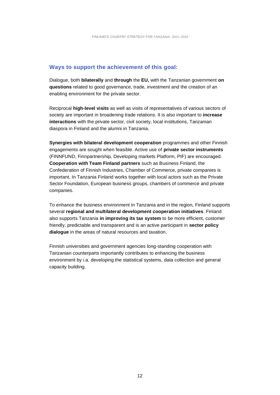#### **Ways to support the achievement of this goal:**

Dialogue, both **bilaterally** and **through** the **EU,** with the Tanzanian government **on questions** related to good governance, trade, investment and the creation of an enabling environment for the private sector.

Reciprocal **high-level visits** as well as visits of representatives of various sectors of society are important in broadening trade relations. It is also important to **increase interactions** with the private sector, civil society, local institutions, Tanzanian diaspora in Finland and the alumni in Tanzania.

**Synergies with bilateral development cooperation** programmes and other Finnish engagements are sought when feasible. Active use of **private sector instruments** (FINNFUND, Finnpartnership, Developing markets Platform, PIF) are encouraged. **Cooperation with Team Finland partners** such as Business Finland, the Confederation of Finnish Industries, Chamber of Commerce, private companies is important. In Tanzania Finland works together with local actors such as the Private Sector Foundation, European business groups, chambers of commerce and private companies.

To enhance the business environment in Tanzania and in the region, Finland supports several **regional and multilateral development cooperation initiatives**. Finland also supports Tanzania **in improving its tax system** to be more efficient, customer friendly, predictable and transparent and is an active participant in **sector policy dialogue** in the areas of natural resources and taxation.

Finnish universities and government agencies long-standing cooperation with Tanzanian counterparts importantly contributes to enhancing the business environment by i.a. developing the statistical systems, data collection and general capacity building.